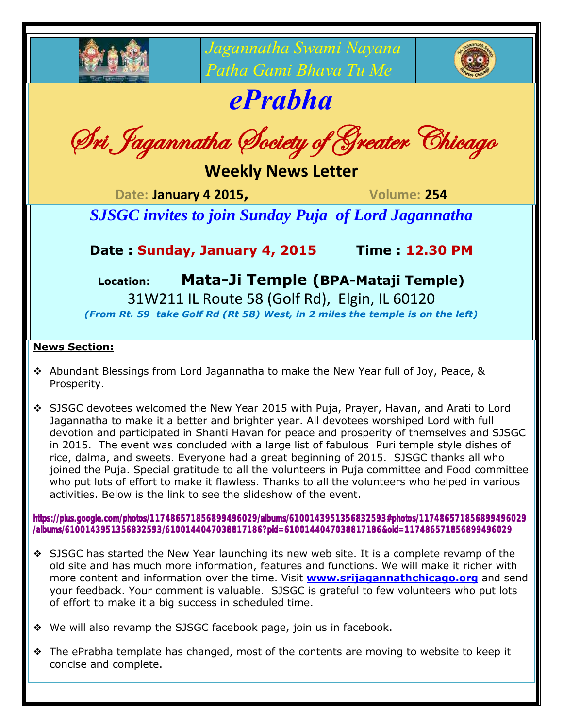

*Jagannatha Swami Nayana Patha Gami Bhava Tu Me*

## *ePrabha*

Sri Jagannatha Society of Greater Chicago

**Weekly News Letter**

**Date: January 4 2015, Volume: 254**

*SJSGC invites to join Sunday Puja of Lord Jagannatha*

## **Date : Sunday, January 4, 2015 Time : 12.30 PM**

**Location: Mata-Ji Temple (BPA-Mataji Temple)**

31W211 IL Route 58 (Golf Rd), Elgin, IL 60120 *(From Rt. 59 take Golf Rd (Rt 58) West, in 2 miles the temple is on the left)*

## **News Section:**

- Abundant Blessings from Lord Jagannatha to make the New Year full of Joy, Peace, & Prosperity.
- SJSGC devotees welcomed the New Year 2015 with Puja, Prayer, Havan, and Arati to Lord Jagannatha to make it a better and brighter year. All devotees worshiped Lord with full devotion and participated in Shanti Havan for peace and prosperity of themselves and SJSGC in 2015. The event was concluded with a large list of fabulous Puri temple style dishes of rice, dalma, and sweets. Everyone had a great beginning of 2015. SJSGC thanks all who joined the Puja. Special gratitude to all the volunteers in Puja committee and Food committee who put lots of effort to make it flawless. Thanks to all the volunteers who helped in various activities. Below is the link to see the slideshow of the event.

[https://plus.google.com/photos/117486571856899496029/albums/6100143951356832593#photos/117486571856899496029](https://plus.google.com/photos/117486571856899496029/albums/6100143951356832593#photos/117486571856899496029/albums/6100143951356832593/6100144047038817186?pid=6100144047038817186&oid=117486571856899496029) [/albums/6100143951356832593/6100144047038817186?pid=6100144047038817186&oid=117486571856899496029](https://plus.google.com/photos/117486571856899496029/albums/6100143951356832593#photos/117486571856899496029/albums/6100143951356832593/6100144047038817186?pid=6100144047038817186&oid=117486571856899496029)

- SJSGC has started the New Year launching its new web site. It is a complete revamp of the old site and has much more information, features and functions. We will make it richer with more content and information over the time. Visit **[www.srijagannathchicago.org](http://www.srijagannathchicago.org/)** and send your feedback. Your comment is valuable. SJSGC is grateful to few volunteers who put lots of effort to make it a big success in scheduled time.
- We will also revamp the SJSGC facebook page, join us in facebook.
- \* The ePrabha template has changed, most of the contents are moving to website to keep it concise and complete.